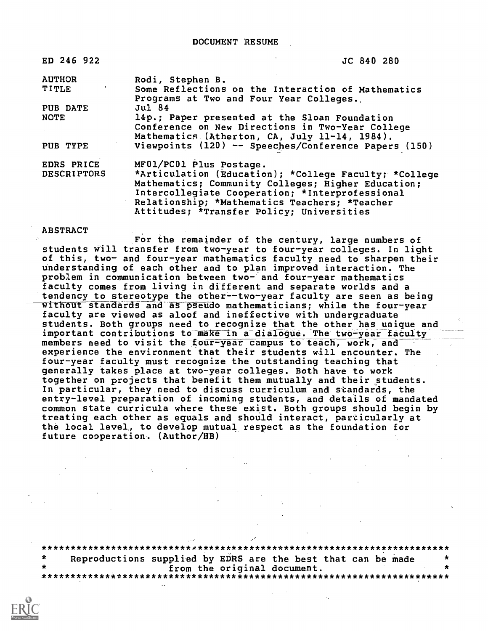DOCUMENT RESUME

ED 246 922

JC 840 280

AUTHOR TITLE PUB DATE NOTE PUB TYPE EDRS PRICE DESCRIPTORS Rodi, Stephen B. Some Reflections on the Interaction of Mathematics Programs at Two and Four Year Colleges.. Jul 84 14p.; Paper presented at the Sloan Foundation Conference on New Directions in Two-Year College Mathematics (Atherton, CA, July 11-14, 1984). Viewpoints (120) -- Speeches/Conference Papers (150) MF01/PC01 Plus Postage. \*Articulation (Education); \*College Faculty; \*College Mathematics; Community Colleges; Higher Education; Intercollegiate Cooperation; \*Interprofessional Relationship; \*Mathematics Teachers; \*Teacher Attitudes; \*Transfer Policy; Universities

#### ABSTRACT

For the remainder of the century, large numbers of students will transfer from two-year to four-year colleges. In light of this, two- and four-year mathematics faculty need to sharpen their understanding of each other and to plan improved interaction. The problem in communication between two- and four-year mathematics faculty comes from living in different and separate worlds and a tendency to stereotype the other--two-year faculty are seen as being without standards and as pseudo mathematicians; while the four-year faculty are viewed as aloof and ineffective with undergraduate students. Both groups need to recognize that the other has unique and important contributions to make in a dialogue. The two-year faculty members need to visit the four-year campus to teach, work, and experience the environment that their students will encounter. The four-year faculty must recognize the outstanding teaching that generally takes place at two-year colleges. Both have to work together on projects that benefit them mutually and their \_students. In particular, they need to discuss curriculum and standards, the entry-level preparation of incoming students, and details of mandated common state curricula where these exist. Both groups should begin by treating each other as equals and should interact, particularly at the local level, to develop mutual respect as the foundation for future cooperation. (Author/HB)

\*\*\*\*\*\*\*\*\*\*\*\*\*\*\*\*\*\*\*\*\*\*\*\*\*\*e\*\*\*\*\*\*\*\*\*\*\*\*\*\*\*\*\*\*\*\*\*\*\*\*\*\*\*\*\*\*\*\*\*\*\*\*\*\*\*\*\*\*\*\* Reproductions supplied by EDRS are the best that can be made<br>from the original document. from the original document. \*\*\*\*\*\*\*\*\*\*\*\*\*\*\*\*\*\*\*\*\*\*\*\*\*\*\*\*\*\*\*\*\*\*\*\*\*\*\*\*\*\*\*\*\*\*\*\*\*\*\*\*\*\*\*\*\*\*\*\*\*\*\*\*\*\*\*\*\*\*\*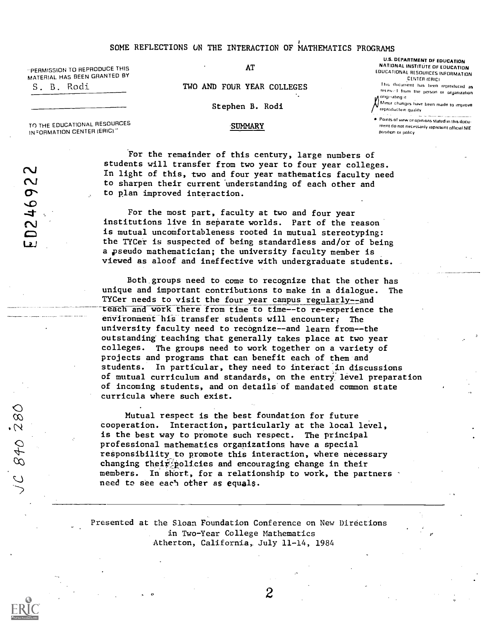"PERMISSION TO REPRODUCE THIS MATERIAL HAS BEEN GRANTED BY

S. B. Rodi

AT

TWO AND FOUR YEAR COLLEGES

Stephen B. Rodi

'SUMMARY

U.S. DEPARTMENT DF EDUCATION NATIONAL INSTITUTE OF EDUCATION EDUCATIONAL RESOURCES INFORMATION CENTER IFRICI

This document has heen reproduced as recented from the person or organization /laoorprrattng

Minor changes have heen made to improve reproductron quality

Points of view or opireons stated in this docu ment do nal necessarily represent official NIE position or policy

TO THE EDUCATIONAL RESOURCES IN=ORMATION CENTER (ERICI"

For the remainder of this century, large numbers of students will transfer from two year to four year colleges. (N) In light of this, two and four year mathematics faculty need to sharpen their current understanding of each other and to plan improved interaction.

> For the most part, faculty at two and four year institutions live in separate worlds. Part of the reason is mutual uncomfortableness rooted in mutual stereotyping: the TYCer is suspected of being standardless and/or of being a pseudo mathematician; the university faculty member is viewed as aloof and ineffective with undergraduate students.

Both groups need to come to recognize that the other has unique and important contributions to make in a dialogue. The TYCer needs to visit the four year campus regularly--and teach and work there from time to time--to re-experience the environment his transfer students will encounter: The university faculty need to recognize--and learn from--the outstanding' teaching that generally takes place at two year colleges. The groups need to work together on a variety of projects and programs that can benefit each of them and students. In particular, they need to interact in discussions of mutual curriculum and standards, on the entry level preparation of incoming students, and on details'of mandated common state curricula where such exist.

Mutual respect is the best foundation for future<br>  $\begin{array}{ll}\n\heartsuit & \text{Mutual respect is the best found at the local} \\
\downarrow & \text{15 the best way to promote such respect. The principle} \\
\downarrow & \text{16 the best way to promote such respect. The principle} \\
\downarrow & \text{17 the probability to promote this interaction, where need to change the probability to promote this interaction, where need to see each other, for a relationship to work, the procedure is needed to see each other as equals.\n\end{array}$ cooperation. Interaction, particularly at the local level, is the best way to promote such respect. The principal professional mathematics organizations have a special responsibility to promote this interaction, where necessary changing their policies and encouraging change in their members. In short, for a relationship to work, the partners need to see each other as equals.

> Presented at the Sloan Foundation Conference on New Directions in Two-Year College Mathematics Atherton, California, July 11-14, 1984

.0

 $\overline{2}$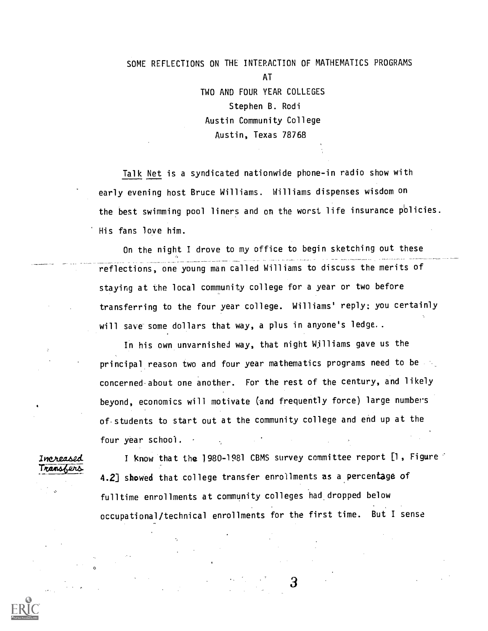# SOME REFLECTIONS ON THE INTERACTION OF MATHEMATICS PROGRAMS AT TWO AND FOUR YEAR COLLEGES Stephen B. Rodi Austin Community College

## Austin, Texas 78768

Talk Net is a syndicated nationwide phone-in radio show with early evening host Bruce Williams. Williams dispenses wisdom on the best swimming pool liners and on the worst life insurance policies. His fans love him.

On the night I drove to my office to begin sketching out these reflections, one young man called Williams to discuss the merits of staying at the local community college for a year or two before transferring to the four year college. Williams' reply: you certainly will save some dollars that way, a plus in anyone's ledge..

In his own unvarnished way, that night Williams gave us the principal reason two and four year mathematics programs need to be concerned about one another. For the rest of the century, and likely beyond, economics will motivate (and frequently force) large numbers of- students to start out at the community college and end up at the four year school.

Transfers

Increased I know that the 1980-1981 CBMS survey committee report [1, Figure 4.2] showed that college transfer enrollments as a percentage of fulltime enrollments at community colleges had dropped below occupational/technical enrollments for the first time. But I sense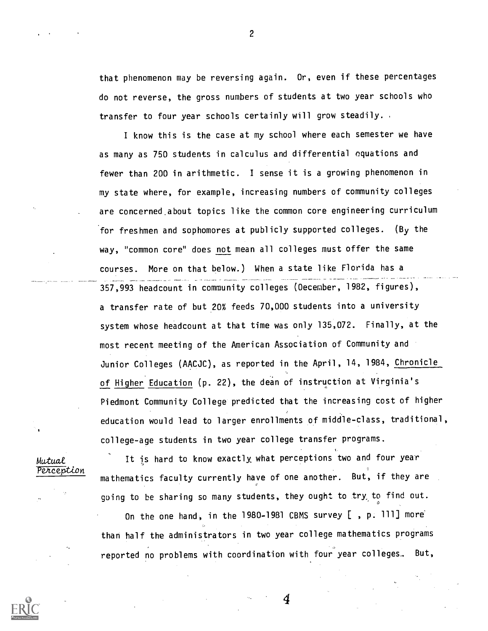that phenomenon may be reversing again. Or, even if these percentages do not reverse, the gross numbers of students at two year schools who transfer to four year schools certainly will grow steadily.

I know this is the case at my school where each semester we have as many as 750 students in calculus and differential equations and fewer than 200 in arithmetic. I sense it is a growing phenomenon in my state where, for example, increasing numbers of community colleges are concerned about topics like the common core engineering curriculum for freshmen and sophomores at publicly supported colleges. (By the way, "common core" does not mean all colleges must offer the same courses. More on that below.) When a state like Florida has a 357,993 headcount in community colleges (Oecenber, 1982, figures), a transfer rate of but 20% feeds 70,000 students into a university system whose headcount at that time was only 135,072. Finally, at the most recent meeting of the American Association of Community and Junior Colleges (AACJC), as reported in the April, 14, 1984, Chronicle of Higher Education (p. 22), the dean of instruction at Virginia's Piedmont Community College predicted that the increasing cost of higher education would lead to larger enrollments of middle-class, traditional, college-age students in two year college transfer programs.

Mutual *Percention* 

It is hard to know exactly what perceptions two and four year mathematics faculty currently have of one another. But, if they are going to be sharing so many students, they ought to try to find out.  $\overline{0}$ 

On the one hand, in the 1980-1981 CBMS survey [, p. 111] more than half the administrators in two year college mathematics programs reported no problems with coordination with four year colleges. But,

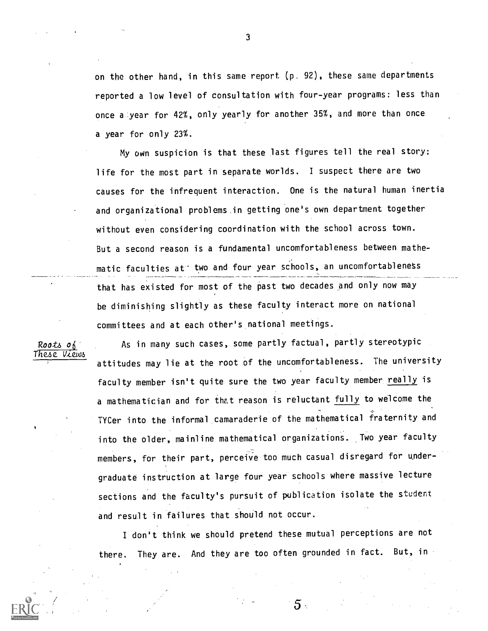on the other hand, in this same report (p. 92), these same departments reported a low level of consultation with four-year programs: less than once a year for 42%, only yearly for another 35%, and more than once a year for only 23%.

My own suspicion is that these last figures tell the real story: life for the most part in separate worlds. I suspect there are two causes for the infrequent interaction. One is the natural human inertia and organizational problems in getting one's own department together without even considering coordination with the school across town. But a second reason is a fundamental uncomfortableness between mathematic faculties at two and four year schools, an uncomfortableness that has existed for most of the past two decades and only now may be diminishing slightly as these faculty interact more on national committees and at each other's national meetings.

As in many such cases, some partly factual, partly stereotypic attitudes may lie at the root of the uncomfortableness. The university faculty member isn't quite sure the two year faculty member really is a mathematician and for that reason is reluctant fully to welcome the TYCer into the informal camaraderie of the mathematical fraternity and into the older, mainline mathematical organizations. Two year faculty members, for their part, perceive too much casual disregard for undergraduate instruction at large four year schools where massive lecture sections and the faculty's pursuit of publication isolate the student and result in failures that should not occur.

I don't think we should pretend these mutual perceptions are not there. They are. And they are too often grounded in fact. But, in

 $5 \cdot$ 

Roots of These View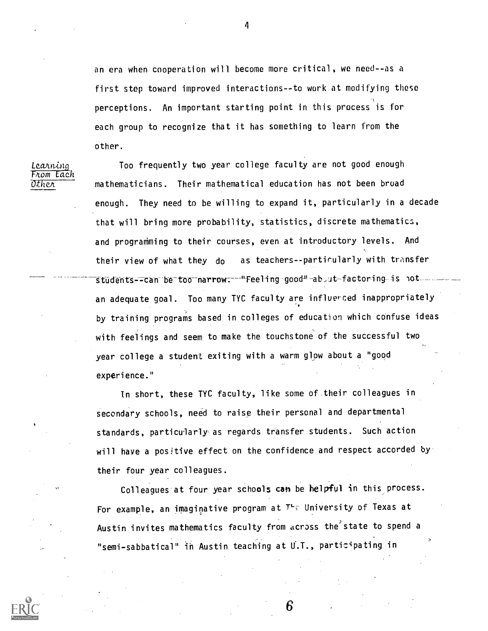an era when cooperation will become more critical, we need--as a first step toward improved interactions--to work at modifying these perceptions. An important starting point in this process is for each group to recognize that it has something to learn from the other.

Learning From Each<br>Other

Too frequently two year college faculty are not good enough mathematicians. Their mathematical education has not been broad enough. They need to be willing to expand it, particularly in a decade that will bring more probability, statistics, discrete mathematics, and programming to their courses, even at introductory levels. And their view of what they do as teachers--partirularly with transfer students--can-be-too-narrow:--"Feeling good"-ab ut-factoring is not an adequate goal. Too many TYC faculty are infloerced inappropriately by training programs based in colleges of education which confuse ideas with feelings and seem to make the touchstone of the successful two year college a student exiting with a warm glow about a "good experience."

In short, these TYC faculty, like some of their colleagues in secondary schools, need to raise their personal and departmental standards, particularly as regards transfer students. Such action will have a positive effect on the confidence and respect accorded by their four year colleagues.

Colleagues at four year schools can be helpful in this process. For example, an imaginative program at  $T^+$ . University of Texas at Austin invites mathematics faculty from across the'state to spend a "semi-sabbatical" in Austin teaching at U.T., participating in

6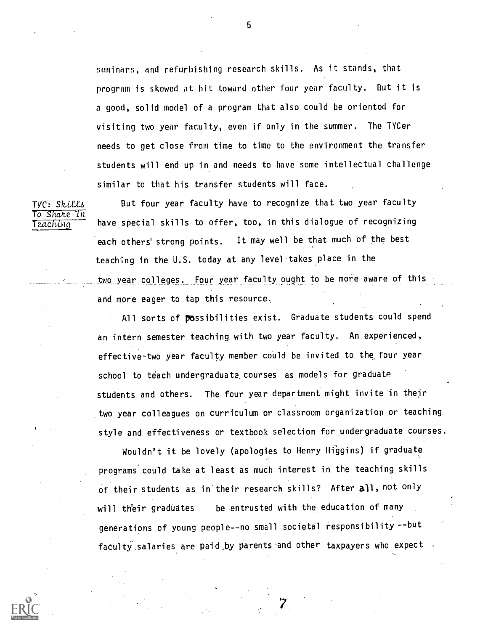seminars, and refurbishing research skills. As it stands, that program is skewed at bit toward other four year faculty. But it is a good, solid model of a program that also could be oriented for visiting two year faculty, even if only in the summer. The TYCer needs to get close from time to time to the environment the transfer students will end up in and needs to have some intellectual challenge similar to that his transfer students will face.

To Share In<br>Teaching

TYC: Skills But four year faculty have to recognize that two year faculty have special skills to offer, too, in this dialogue of recognizing each others' strong points. It may well be that much of the best teaching in the U.S. today at any level takes place in the two year colleges. Four year faculty ought to be more aware of this and more eager to tap this resource,

> All sorts of possibilities exist. Graduate students could spend an intern semester teaching with two year faculty. An experienced, effective-two year faculty member could be invited to the, four year school to teach undergraduate. courses as models for graduate students and others. The four year department might invite'in their two year colleagues on curriculum or classroom organization or teaching. style and effectiveness or textbook selection for undergraduate courses.

Wouldn't it be lovely (apologies to Henry Higgins) if graduate programs'could take at least as much interest in the teaching skills of their students as in their research skills? After all, not only will their graduates be entrusted with the education of many generations of young people--no small societal responsibility --but faculty salaries are paid by parents and other taxpayers who expect

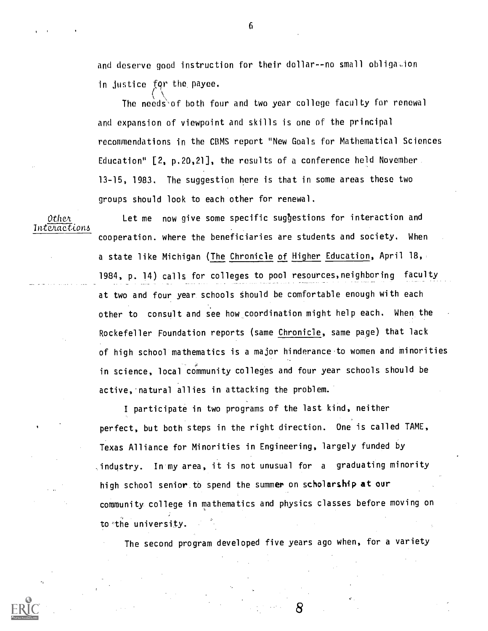and deserve good instruction for their dollar--no small obligi.ion in Justice fqr the. payee,

The needs`of both four and two year college faculty for renewal  $\,$ and expansion of viewpoint and skills is one of the principal recommendations in the CBMS report "New Goals for Mathematical Sciences Education" [2, p.20,21], the results of a conference held November 13-15, 1983. The suggestion here is that in some areas these two groups should look to each other for renewal.

Interactions

Othen. Let me now give some specific suggestions for interaction and cooperation. where the beneficiaries are students and society. When a state like Michigan (The Chronicle of Higher Education, April 18, 1984, p. 14) calls for colleges to pool resources,neighboring faculty at two and four year schools should be comfortable enough with each other to consult and see how coordination might help each. When the Rockefeller Foundation reports (same Chronicle, same page) that lack of high school mathematics is a major hinderance.to women and minorities in science, local community colleges and four year schools should be active, natural allies in attacking the problem.

> I participate in two programs of the last kind, neither perfect, but both steps in the right direction. One is called TAME, Texas Alliance for Minorities in Engineering, largely funded by ,industry. In my area, it is not unusual for a graduating minority high school senior. to spend the summer on scholarship at our community. college in mathematics and physics classes before moving on to-the university.

The second program developed five years ago when, for a variety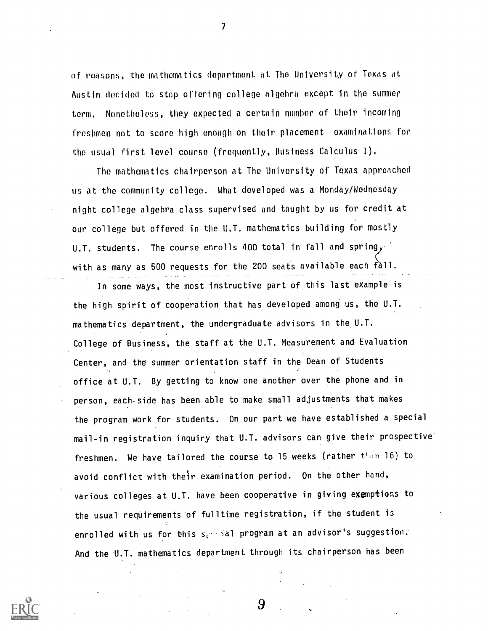of reasons, the mathematics department at The University of Texas at Austin decided to stop offering college algebra except in the summer term. Nonetheless, they expected a certain number of their incoming freshmen not to score high enough on their placement examinations for the usual first level course (frequently, Business Calculus I).

 $\overline{\mathcal{L}}$ 

The mathematics chairperson at The University of Texas approached us at the community college. What developed was a Monday/Wednesday night college algebra class supervised and taught by us for credit at our college but offered in the U.T. mathematics building for mostly U.T. students. The course enrolls 400 total in fall and spring, with as many as 500 requests for the 200 seats available each fàll.

In some ways, the most instructive part of this last example is the high spirit of cooperation that has developed among us, the U.T. mathematics department, the undergraduate advisors in the U.T. College of Business, the staff at the U.T. Measurement and Evaluation Center, and the summer orientation staff in the Dean of Students office at U.T. By getting to know one another over the phone and in person, each side has been able to make small adjustments that makes the program work for students. On our part we have established a special mail-in registration inquiry that U.T. advisors can give their prospective freshmen. We have tailored the course to 15 weeks (rather  $t^{\mu}$ mn 16) to avoid conflict with their examination period. On the other hand, various colleges at U.T. have been cooperative in giving exemptions to the usual requirements of fulltime registration, if the student is enrolled with us for this  $s_i$  ial program at an advisor's suggestion. And the U.T. mathematics department through its chairperson has been

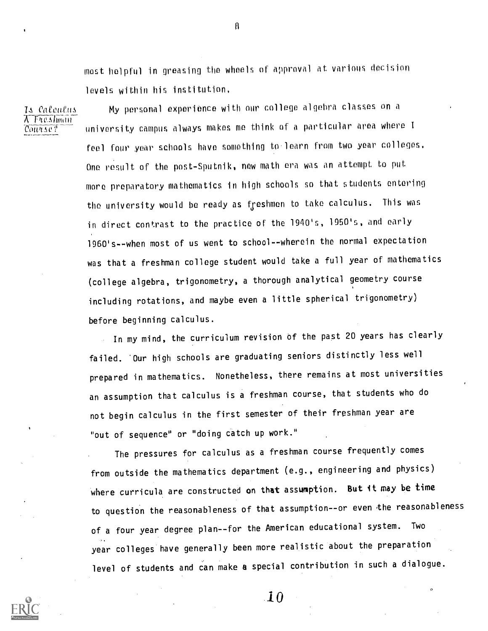most helpful in greasing the wheels of approval at various decision levels within his institution,

15 Calculus  $\lambda$  Freshman Course?

My personal experience with our college algebra classes on a university campus always makes me think of a particular area where I feel four year schools have something to'learn from two year colleges, One result of the post-Sputnik, new math era was an attempt to put more preparatory mathematics in high schools so that students entering the university would be ready as freshmen to take calculus. This was in direct contrast to the practice of the 1940's, 1950's, and early 1960's - -when most of us went to school -- wherein the normal expectation was that a freshman college student would take a full year of mathematics (college algebra, trigonometry, a thorough analytical geometry course including rotations, and maybe even a little spherical trigonometry) before beginning calculus.

In my mind, the curriculum revision of the past 20 years has clearly failed. Our high schools are graduating seniors distinctly less well prepared in mathematics. Nonetheless, there remains at most universities an assumption that calculus is a freshman course, that students who do not begin calculus in the first semester of their freshman year are "out of sequence" or "doing catch up work."

The pressures for calculus as a freshman course frequently comes from outside the mathematics department (e.g., engineering and physics) where curricula are constructed on that assumption. But it may be time to question the reasonableness of that assumption--or even the reasonableness of a four year degree plan--for the American educational system. Two year colleges have generally been more realistic about the preparation level of students and can make a special contribution in such a dialogue.



 $\bf{10}$ 

 $\mathbf{g}$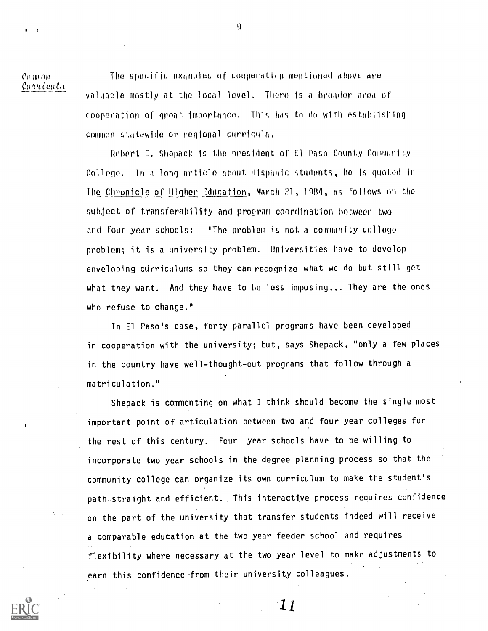Comm' Curricula

The specific examples of cooperation mentioned above are valuable mostly at the local level, There is a broader area of cooperation of great importance, This has to do with establishing common statewido or regional curricula,

Robert F, Fiepack is the president of Fl Paso County Community College. In a long article about Hispanic students, he is quoted in The Chronicle of Higher Education, March 21, 1984, as follows on the subject of transferability and program coordination between two and four year schools: "The problem is not a community college problem; it is a university problem. Universities have to develop enveloping curriculums so they can recognize what we do but still get what they want. And they have to be less imposing... They are the ones who refuse to change."

In El Paso's case, forty parallel programs have been developed in cooperation with the university; but, says Shepack, "only a few places in the country have well-thought-out programs that follow through a matriculation."

Shepack is commenting on what I think should become the single most important point of articulation between two and four year colleges for the rest of this century. Four year schools have to be willing to incorporate two year schools in the degree planning process so that the community college can organize its own curriculum to make the student's path straight and efficient. This interactive process requires confidence on the part of the university that transfer students indeed will receive a comparable education at the two year feeder school and requires . flexibility where necessary at the two year level to make adjustments to earn this confidence from their university colleagues.

9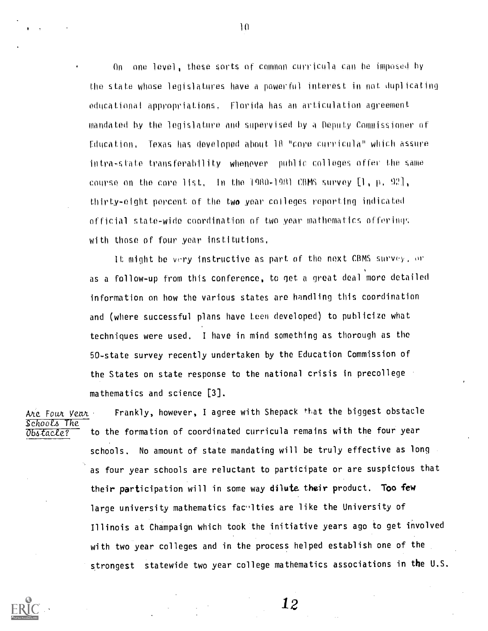On one level, these sorts of common curricula can be imposed by the state whose legislatures have a powerful interest in not duplicating educational appropriations. Florida has an articulation agreement mandated by the legislature and supervised by a Oeputy Commissioner of Fducation, Texas has developed about 111 "core curricla" which assure intra-state transferability whenever public colleges offer the same course on the core list, In the 1980-1981 CBMS survey  $[1, p, 92]$ , thirty-eight percent of the two year colleges reporting indicated official state-wide coordination of two year mathematics offerings with those of four year institutions,

It might be very instructive as part of the next CBMS survey, or as a follow-up from this conference, to get a great deal more detailed information on how the various states are handling this coordination and (where successful plans have teen developed) to publicize what techniques were used. I have in mind something as thorough as the 50-state survey recently undertaken by the Education Commission of the States on state response to the national crisis in precollege mathematics and science [3].

Are Four Year Frankly, however, I agree with Shepack that the biggest obstacle Schools The<br>Obstacle? to the formation of coordinated curricula remains with the four year schools. No amount of state mandating will be truly effective as long as four year schools are reluctant to participate or are suspicious that their participation will in some way dilute their product. Too few large university mathematics facylties are like the University of Illinois at Champaign which took the initiative years ago to get involved with two year colleges and in the process helped establish one of the strongest statewide two year college mathematics associations in the U.S.



10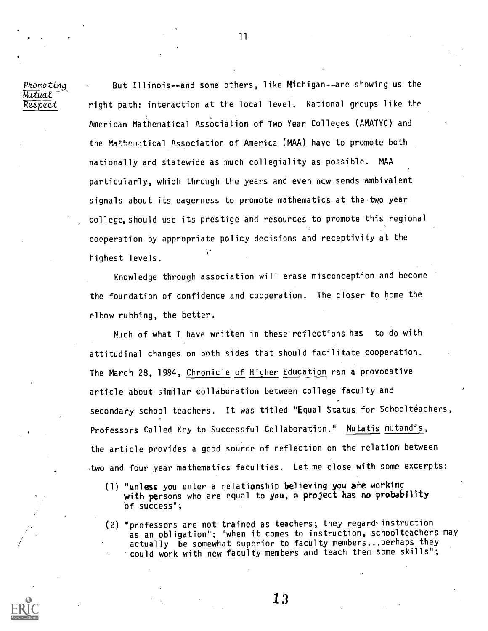Mutual<br>Respect

Promoting  $\sim$  But Illinois--and some others, like Michigan--are showing us the right path: interaction at the local level. National groups like the American Mathematical Association of Two Year Colleges (AMATYC) and the Mathematical Association of America (MAA) have to promote both nationally and statewide as much collegiality as possible. MAA particularly, which through the years and even new sends ambivalent signals about its eagerness to promote mathematics at the two year college, should use its prestige and resources to promote this regional cooperation by appropriate policy decisions and receptivity at the highest levels.

> Knowledge through association will erase misconception and become the foundation of confidence and cooperation. The closer to home the elbow rubbing, the better.

Much of what I have written in these reflections has to do with attitudinal changes on both sides that should facilitate cooperation. The March 28, 1984, Chronicle of Higher Education ran a provocative article about similar collaboration between college faculty and secondary school teachers. It was titled "Equal Status for Schoolteachers, Professors Called Key to Successful Collaboration." Mutatis mutandis, the article provides a good source of reflection on the relation between two and four year mathematics faculties. Let me close with some excerpts:

- (1) "unless you enter a relationship believing you are working with persons who are equal to you, a project has no probability of success";
- (2) "professors are not trained as teachers; they regard-instruction as an obligation"; "when it comes to instruction, schoolteachers may actually be somewhat superior to faculty members...perhaps they could work with new faculty members and teach them some skills";

13